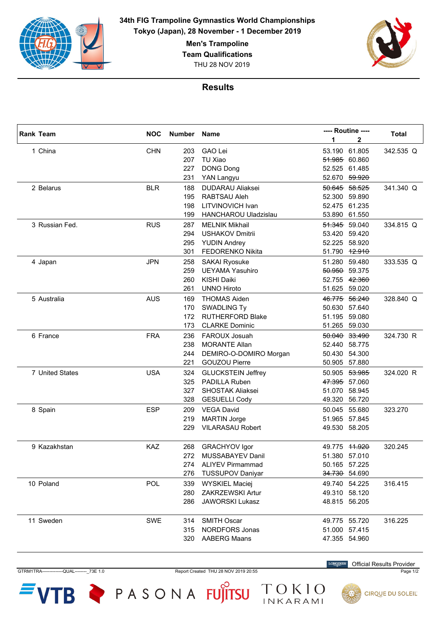

> **Men's Trampoline Team Qualifications** THU 28 NOV 2019



## **Results**

| <b>Rank Team</b> | <b>NOC</b> | Number Name |                             | ---- Routine ---- |               | Total     |
|------------------|------------|-------------|-----------------------------|-------------------|---------------|-----------|
|                  |            |             |                             | 1                 | 2             |           |
| 1 China          | <b>CHN</b> | 203         | <b>GAO Lei</b>              |                   | 53.190 61.805 | 342.535 Q |
|                  |            | 207         | TU Xiao                     |                   | 51.985 60.860 |           |
|                  |            | 227         | <b>DONG Dong</b>            |                   | 52.525 61.485 |           |
|                  |            | 231         | YAN Langyu                  |                   | 52.670 59.920 |           |
| 2 Belarus        | <b>BLR</b> | 188         | <b>DUDARAU Aliaksei</b>     |                   | 50.645 58.525 | 341.340 Q |
|                  |            | 195         | RABTSAU Aleh                |                   | 52.300 59.890 |           |
|                  |            | 198         | LITVINOVICH Ivan            |                   | 52.475 61.235 |           |
|                  |            | 199         | <b>HANCHAROU Uladzislau</b> | 53.890            | 61.550        |           |
| 3 Russian Fed.   | <b>RUS</b> | 287         | <b>MELNIK Mikhail</b>       |                   | 51.345 59.040 | 334.815 Q |
|                  |            | 294         | <b>USHAKOV Dmitrii</b>      |                   | 53.420 59.420 |           |
|                  |            | 295         | <b>YUDIN Andrey</b>         |                   | 52.225 58.920 |           |
|                  |            | 301         | FEDORENKO Nikita            |                   | 51.790 12.910 |           |
| 4 Japan          | <b>JPN</b> | 258         | <b>SAKAI Ryosuke</b>        |                   | 51.280 59.480 | 333.535 Q |
|                  |            | 259         | <b>UEYAMA Yasuhiro</b>      |                   | 50.950 59.375 |           |
|                  |            | 260         | <b>KISHI Daiki</b>          |                   | 52.755 42.360 |           |
|                  |            | 261         | <b>UNNO Hiroto</b>          |                   | 51.625 59.020 |           |
| 5 Australia      | <b>AUS</b> | 169         | <b>THOMAS Aiden</b>         |                   | 46.775 56.240 | 328.840 Q |
|                  |            | 170         | <b>SWADLING Ty</b>          |                   | 50.630 57.640 |           |
|                  |            | 172         | <b>RUTHERFORD Blake</b>     |                   | 51.195 59.080 |           |
|                  |            | 173         | <b>CLARKE Dominic</b>       |                   | 51.265 59.030 |           |
| 6 France         | <b>FRA</b> | 236         | FAROUX Josuah               |                   | 50.040 33.490 | 324.730 R |
|                  |            | 238         | <b>MORANTE Allan</b>        |                   | 52.440 58.775 |           |
|                  |            | 244         | DEMIRO-O-DOMIRO Morgan      |                   | 50.430 54.300 |           |
|                  |            | 221         | <b>GOUZOU Pierre</b>        |                   | 50.905 57.880 |           |
| 7 United States  | <b>USA</b> | 324         | <b>GLUCKSTEIN Jeffrey</b>   |                   | 50.905 53.985 | 324.020 R |
|                  |            | 325         | <b>PADILLA Ruben</b>        |                   | 47.395 57.060 |           |
|                  |            | 327         | <b>SHOSTAK Aliaksei</b>     |                   | 51.070 58.945 |           |
|                  |            | 328         | <b>GESUELLI Cody</b>        |                   | 49.320 56.720 |           |
| 8 Spain          | <b>ESP</b> | 209         | <b>VEGA David</b>           |                   | 50.045 55.680 | 323.270   |
|                  |            | 219         | <b>MARTIN Jorge</b>         |                   | 51.965 57.845 |           |
|                  |            | 229         | <b>VILARASAU Robert</b>     |                   | 49.530 58.205 |           |
|                  |            |             |                             |                   |               |           |
| 9 Kazakhstan     | KAZ        | 268         | GRACHYOV Igor               |                   | 49.775 11.920 | 320.245   |
|                  |            | 272         | MUSSABAYEV Danil            |                   | 51.380 57.010 |           |
|                  |            | 274.        | ALIYEV Pirmammad            |                   | 50.165 57.225 |           |
|                  |            | 276         | <b>TUSSUPOV Daniyar</b>     |                   | 34.730 54.690 |           |
| 10 Poland        | <b>POL</b> | 339         | WYSKIEL Maciej              |                   | 49.740 54.225 | 316.415   |
|                  |            | 280         | ZAKRZEWSKI Artur            |                   | 49.310 58.120 |           |
|                  |            | 286         | <b>JAWORSKI Lukasz</b>      |                   | 48.815 56.205 |           |
|                  |            |             |                             |                   |               |           |
| 11 Sweden        | <b>SWE</b> | 314         | <b>SMITH Oscar</b>          |                   | 49.775 55.720 | 316.225   |
|                  |            | 315         | <b>NORDFORS Jonas</b>       |                   | 51.000 57.415 |           |
|                  |            | 320         | <b>AABERG Maans</b>         |                   | 47.355 54.960 |           |
|                  |            |             |                             |                   |               |           |

GTRM1TRA--QUAL-- $-273E$  1.0 Report Created THU 28 NOV 2019 20:55

 $VTB$   $\blacktriangleright$  PASONA FUJITSU

**LONGINES Official Results Provider** 

Page 1/2

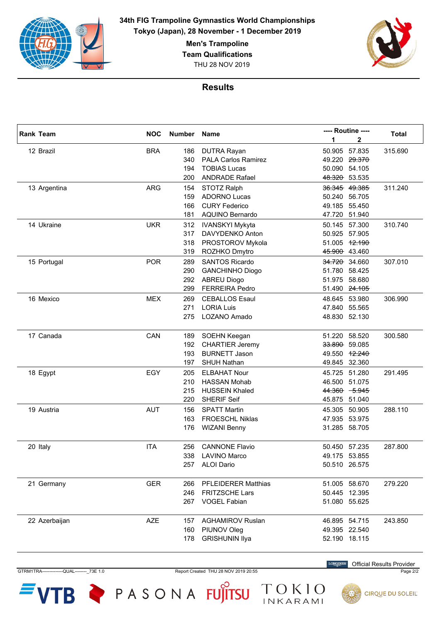

> THU 28 NOV 2019 **Men's Trampoline Team Qualifications**



## **Results**

|  | <b>Rank Team</b> | <b>NOC</b> | Number Name |                            |        | ---- Routine ---- |              |
|--|------------------|------------|-------------|----------------------------|--------|-------------------|--------------|
|  |                  |            |             |                            | 1      | 2                 | <b>Total</b> |
|  | 12 Brazil        | <b>BRA</b> | 186         | <b>DUTRA Rayan</b>         |        | 50.905 57.835     | 315.690      |
|  |                  |            | 340         | <b>PALA Carlos Ramirez</b> |        | 49.220 29.370     |              |
|  |                  |            | 194         | <b>TOBIAS Lucas</b>        |        | 50.090 54.105     |              |
|  |                  |            | 200         | <b>ANDRADE Rafael</b>      |        | 48.320 53.535     |              |
|  | 13 Argentina     | <b>ARG</b> | 154         | STOTZ Ralph                |        | 36.345 49.385     | 311.240      |
|  |                  |            | 159         | <b>ADORNO Lucas</b>        |        | 50.240 56.705     |              |
|  |                  |            | 166         | <b>CURY Federico</b>       |        | 49.185 55.450     |              |
|  |                  |            | 181         | <b>AQUINO Bernardo</b>     |        | 47.720 51.940     |              |
|  | 14 Ukraine       | <b>UKR</b> | 312         | <b>IVANSKYI Mykyta</b>     |        | 50.145 57.300     | 310.740      |
|  |                  |            | 317         | DAVYDENKO Anton            |        | 50.925 57.905     |              |
|  |                  |            | 318         | PROSTOROV Mykola           |        | 51.005 12.190     |              |
|  |                  |            | 319         | ROZHKO Dmytro              |        | 45.900 43.460     |              |
|  | 15 Portugal      | <b>POR</b> | 289         | <b>SANTOS Ricardo</b>      |        | 34.720 34.660     | 307.010      |
|  |                  |            | 290         | <b>GANCHINHO Diogo</b>     |        | 51.780 58.425     |              |
|  |                  |            | 292         | <b>ABREU Diogo</b>         | 51.975 | 58.680            |              |
|  |                  |            | 299         | <b>FERREIRA Pedro</b>      |        | 51.490 24.105     |              |
|  | 16 Mexico        | <b>MEX</b> | 269         | <b>CEBALLOS Esaul</b>      |        | 48.645 53.980     | 306.990      |
|  |                  |            | 271         | <b>LORIA Luis</b>          |        | 47.840 55.565     |              |
|  |                  |            | 275         | LOZANO Amado               |        | 48.830 52.130     |              |
|  |                  |            |             |                            |        |                   |              |
|  | 17 Canada        | CAN        | 189         | SOEHN Keegan               |        | 51.220 58.520     | 300.580      |
|  |                  |            | 192         | <b>CHARTIER Jeremy</b>     |        | 33.890 59.085     |              |
|  |                  |            | 193         | <b>BURNETT Jason</b>       |        | 49.550 12.240     |              |
|  |                  |            | 197         | <b>SHUH Nathan</b>         |        | 49.845 32.360     |              |
|  | 18 Egypt         | EGY        | 205         | <b>ELBAHAT Nour</b>        |        | 45.725 51.280     | 291.495      |
|  |                  |            | 210         | <b>HASSAN Mohab</b>        |        | 46.500 51.075     |              |
|  |                  |            | 215         | <b>HUSSEIN Khaled</b>      |        | 44.360 5.945      |              |
|  |                  |            | 220         | <b>SHERIF Seif</b>         |        | 45.875 51.040     |              |
|  | 19 Austria       | <b>AUT</b> | 156         | <b>SPATT Martin</b>        |        | 45.305 50.905     | 288.110      |
|  |                  |            | 163         | <b>FROESCHL Niklas</b>     |        | 47.935 53.975     |              |
|  |                  |            | 176         | <b>WIZANI Benny</b>        |        | 31.285 58.705     |              |
|  |                  |            |             |                            |        |                   |              |
|  | 20 Italy         | <b>ITA</b> | 256         | <b>CANNONE Flavio</b>      |        | 50.450 57.235     | 287.800      |
|  |                  |            |             | 338 LAVINO Marco           |        | 49.175 53.855     |              |
|  |                  |            |             | 257 ALOI Dario             |        | 50.510 26.575     |              |
|  |                  |            |             |                            |        |                   |              |
|  | 21 Germany       | <b>GER</b> | 266         | <b>PFLEIDERER Matthias</b> |        | 51.005 58.670     | 279.220      |
|  |                  |            | 246         | <b>FRITZSCHE Lars</b>      |        | 50.445 12.395     |              |
|  |                  |            |             | 267 VOGEL Fabian           |        | 51.080 55.625     |              |
|  |                  |            |             |                            |        |                   |              |
|  | 22 Azerbaijan    | <b>AZE</b> | 157         | <b>AGHAMIROV Ruslan</b>    |        | 46.895 54.715     | 243.850      |
|  |                  |            | 160         | PIUNOV Oleg                |        | 49.395 22.540     |              |
|  |                  |            | 178         | <b>GRISHUNIN Ilya</b>      |        | 52.190 18.115     |              |
|  |                  |            |             |                            |        |                   |              |

GTRM1TRA--------------QUAL--------\_73E 1.0 Report Created THU 28 NOV 2019 20:55 Page 2/2

TOKIO

**LONGINES** Official Results Provider



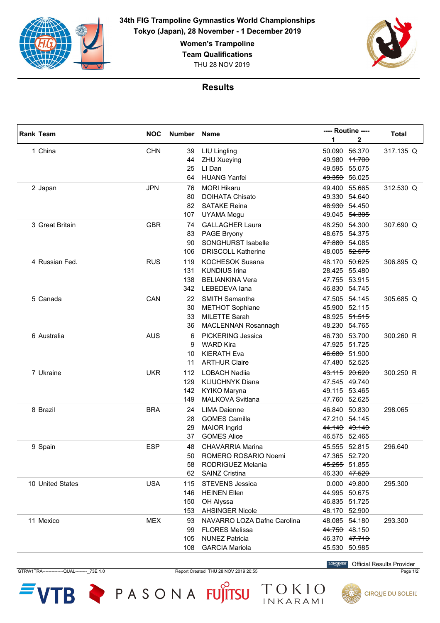

**Women's Trampoline**

**Team Qualifications**

THU 28 NOV 2019



## **Results**

| <b>Rank Team</b> | <b>NOC</b> |     | ---- Routine ----<br>Number Name |               |                 | <b>Total</b> |
|------------------|------------|-----|----------------------------------|---------------|-----------------|--------------|
|                  |            |     |                                  | 1             | 2               |              |
| 1 China          | <b>CHN</b> | 39  | <b>LIU Lingling</b>              | 50.090        | 56.370          | 317.135 Q    |
|                  |            | 44  | <b>ZHU Xueying</b>               |               | 49.980 11.700   |              |
|                  |            | 25  | LI Dan                           | 49.595        | 55.075          |              |
|                  |            | 64  | <b>HUANG Yanfei</b>              | 49.350 56.025 |                 |              |
| 2 Japan          | <b>JPN</b> | 76  | <b>MORI Hikaru</b>               | 49.400        | 55.665          | 312.530 Q    |
|                  |            | 80  | <b>DOIHATA Chisato</b>           |               | 49.330 54.640   |              |
|                  |            | 82  | <b>SATAKE Reina</b>              |               | 48.930 54.450   |              |
|                  |            | 107 | <b>UYAMA Megu</b>                |               | 49.045 54.305   |              |
| 3 Great Britain  | <b>GBR</b> | 74  | <b>GALLAGHER Laura</b>           |               | 48.250 54.300   | 307.690 Q    |
|                  |            | 83  | PAGE Bryony                      |               | 48.675 54.375   |              |
|                  |            | 90  | <b>SONGHURST Isabelle</b>        |               | 47.880 54.085   |              |
|                  |            | 106 | <b>DRISCOLL Katherine</b>        |               | 48.005 52.575   |              |
| 4 Russian Fed.   | <b>RUS</b> | 119 | <b>KOCHESOK Susana</b>           |               | 48.170 50.625   | 306.895 Q    |
|                  |            | 131 | <b>KUNDIUS Irina</b>             |               | 28.425 55.480   |              |
|                  |            | 138 | <b>BELIANKINA Vera</b>           |               | 47.755 53.915   |              |
|                  |            | 342 | LEBEDEVA lana                    | 46.830 54.745 |                 |              |
| 5 Canada         | CAN        | 22  | <b>SMITH Samantha</b>            |               | 47.505 54.145   | 305.685 Q    |
|                  |            | 30  | <b>METHOT Sophiane</b>           |               | 45.900 52.115   |              |
|                  |            | 33  | <b>MILETTE Sarah</b>             | 48.925        | 51.515          |              |
|                  |            | 36  | <b>MACLENNAN Rosannagh</b>       | 48.230        | 54.765          |              |
| 6 Australia      | <b>AUS</b> | 6   | <b>PICKERING Jessica</b>         |               | 46.730 53.700   | 300.260 R    |
|                  |            | 9   | <b>WARD Kira</b>                 |               | 47.925 51.725   |              |
|                  |            | 10  | <b>KIERATH Eva</b>               |               | 46.680 51.900   |              |
|                  |            | 11  | <b>ARTHUR Claire</b>             | 47.480 52.525 |                 |              |
| 7 Ukraine        | <b>UKR</b> | 112 | <b>LOBACH Nadiia</b>             |               | 43.115 20.620   | 300.250 R    |
|                  |            | 129 | <b>KLIUCHNYK Diana</b>           |               | 47.545 49.740   |              |
|                  |            | 142 | KYIKO Maryna                     |               | 49.115 53.465   |              |
|                  |            | 149 | MALKOVA Svitlana                 | 47.760        | 52.625          |              |
| 8 Brazil         | <b>BRA</b> | 24  | <b>LIMA Daienne</b>              | 46.840        | 50.830          | 298.065      |
|                  |            | 28  | <b>GOMES Camilla</b>             |               | 47.210 54.145   |              |
|                  |            | 29  | <b>MAIOR Ingrid</b>              |               | 44.140 49.140   |              |
|                  |            | 37  | <b>GOMES Alice</b>               | 46.575 52.465 |                 |              |
| 9 Spain          | <b>ESP</b> | 48  | <b>CHAVARRIA Marina</b>          |               | 45.555 52.815   | 296.640      |
|                  |            | 50  | ROMERO ROSARIO Noemi             |               | 47.365 52.720   |              |
|                  |            | 58  | RODRIGUEZ Melania                | 45.255 51.855 |                 |              |
|                  |            | 62  | <b>SAINZ Cristina</b>            |               | 46.330 47.520   |              |
| 10 United States | <b>USA</b> | 115 | <b>STEVENS Jessica</b>           |               | $-0.000$ 49.800 | 295.300      |
|                  |            | 146 | <b>HEINEN Ellen</b>              |               | 44.995 50.675   |              |
|                  |            | 150 | OH Alyssa                        |               | 46.835 51.725   |              |
|                  |            | 153 | <b>AHSINGER Nicole</b>           | 48.170 52.900 |                 |              |
| 11 Mexico        | <b>MEX</b> | 93  | NAVARRO LOZA Dafne Carolina      | 48.085 54.180 |                 | 293.300      |
|                  |            | 99  | <b>FLORES Melissa</b>            |               | 44.750 48.150   |              |
|                  |            | 105 | <b>NUNEZ Patricia</b>            |               | 46.370 47.710   |              |
|                  |            | 108 | <b>GARCIA Mariola</b>            | 45.530 50.985 |                 |              |
|                  |            |     |                                  |               |                 |              |

GTRW1TRA--------------QUAL--------\_73E 1.0 Report Created THU 28 NOV 2019 20:55 Page 1/2

TOKIO

 $VTB$   $\blacktriangleright$  PASONA FUJITSU

**LONGINES** Official Results Provider